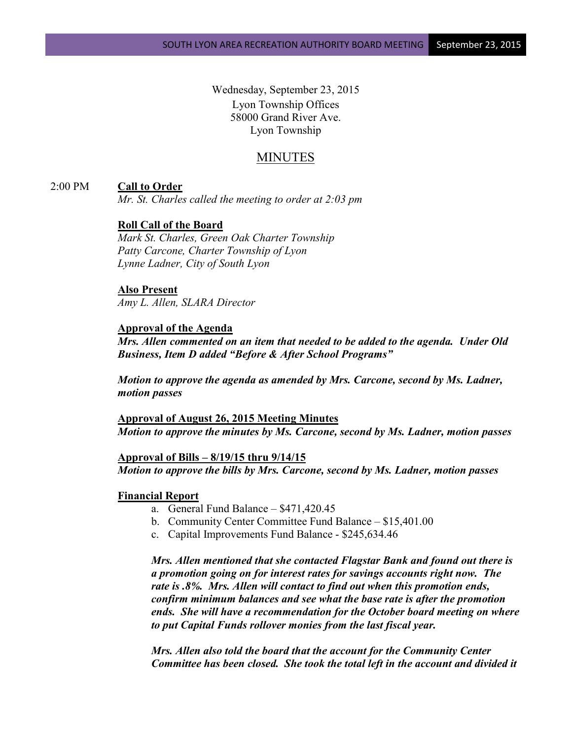Wednesday, September 23, 2015 Lyon Township Offices 58000 Grand River Ave. Lyon Township

# MINUTES

#### 2:00 PM **Call to Order**

*Mr. St. Charles called the meeting to order at 2:03 pm*

### **Roll Call of the Board**

*Mark St. Charles, Green Oak Charter Township Patty Carcone, Charter Township of Lyon Lynne Ladner, City of South Lyon* 

# **Also Present**

*Amy L. Allen, SLARA Director*

#### **Approval of the Agenda**

*Mrs. Allen commented on an item that needed to be added to the agenda. Under Old Business, Item D added "Before & After School Programs"*

*Motion to approve the agenda as amended by Mrs. Carcone, second by Ms. Ladner, motion passes*

**Approval of August 26, 2015 Meeting Minutes** *Motion to approve the minutes by Ms. Carcone, second by Ms. Ladner, motion passes*

**Approval of Bills – 8/19/15 thru 9/14/15** *Motion to approve the bills by Mrs. Carcone, second by Ms. Ladner, motion passes*

#### **Financial Report**

- a. General Fund Balance \$471,420.45
- b. Community Center Committee Fund Balance \$15,401.00
- c. Capital Improvements Fund Balance \$245,634.46

*Mrs. Allen mentioned that she contacted Flagstar Bank and found out there is a promotion going on for interest rates for savings accounts right now. The rate is .8%. Mrs. Allen will contact to find out when this promotion ends, confirm minimum balances and see what the base rate is after the promotion ends. She will have a recommendation for the October board meeting on where to put Capital Funds rollover monies from the last fiscal year.*

*Mrs. Allen also told the board that the account for the Community Center Committee has been closed. She took the total left in the account and divided it*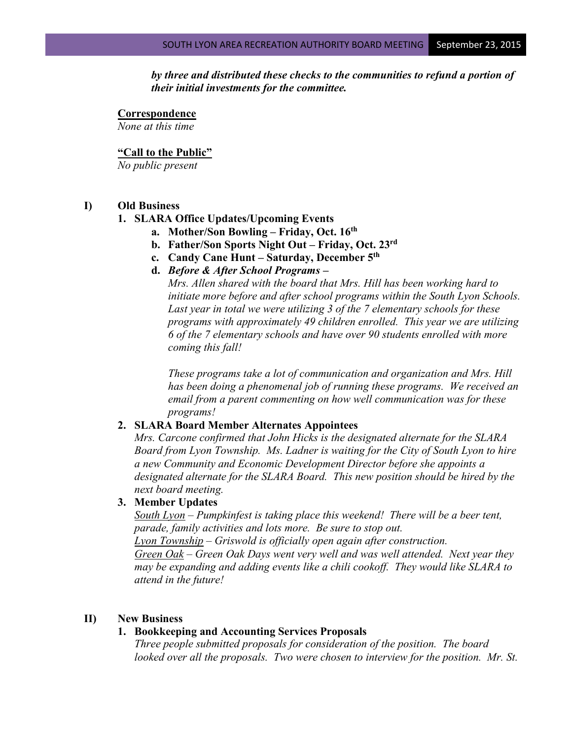*by three and distributed these checks to the communities to refund a portion of their initial investments for the committee.*

**Correspondence** *None at this time*

#### **"Call to the Public"**

*No public present*

#### **I) Old Business**

### **1. SLARA Office Updates/Upcoming Events**

- **a. Mother/Son Bowling – Friday, Oct. 16th**
- **b. Father/Son Sports Night Out – Friday, Oct. 23rd**
- **c. Candy Cane Hunt – Saturday, December 5th**
- **d.** *Before & After School Programs –*

*Mrs. Allen shared with the board that Mrs. Hill has been working hard to initiate more before and after school programs within the South Lyon Schools. Last year in total we were utilizing 3 of the 7 elementary schools for these programs with approximately 49 children enrolled. This year we are utilizing 6 of the 7 elementary schools and have over 90 students enrolled with more coming this fall!* 

*These programs take a lot of communication and organization and Mrs. Hill has been doing a phenomenal job of running these programs. We received an email from a parent commenting on how well communication was for these programs!*

### **2. SLARA Board Member Alternates Appointees**

*Mrs. Carcone confirmed that John Hicks is the designated alternate for the SLARA Board from Lyon Township. Ms. Ladner is waiting for the City of South Lyon to hire a new Community and Economic Development Director before she appoints a designated alternate for the SLARA Board. This new position should be hired by the next board meeting.*

### **3. Member Updates**

*South Lyon – Pumpkinfest is taking place this weekend! There will be a beer tent, parade, family activities and lots more. Be sure to stop out. Lyon Township – Griswold is officially open again after construction. Green Oak – Green Oak Days went very well and was well attended. Next year they may be expanding and adding events like a chili cookoff. They would like SLARA to attend in the future!*

### **II) New Business**

### **1. Bookkeeping and Accounting Services Proposals**

*Three people submitted proposals for consideration of the position. The board looked over all the proposals. Two were chosen to interview for the position. Mr. St.*